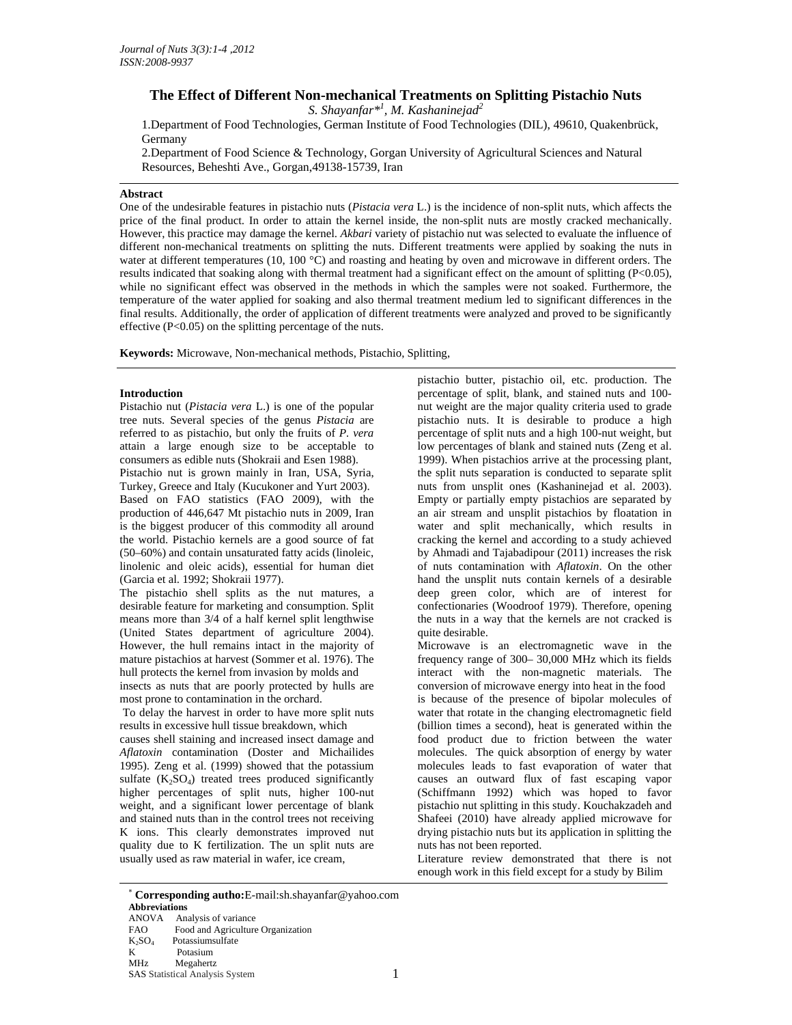# **The Effect of Different Non-mechanical Treatments on Splitting Pistachio Nuts**

*S. Shayanfar\*1 , M. Kashaninejad<sup>2</sup>*

1.Department of Food Technologies, German Institute of Food Technologies (DIL), 49610, Quakenbrück, Germany

2.Department of Food Science & Technology, Gorgan University of Agricultural Sciences and Natural Resources, Beheshti Ave., Gorgan,49138-15739, Iran

## **Abstract**

One of the undesirable features in pistachio nuts (*Pistacia vera* L.) is the incidence of non-split nuts, which affects the price of the final product. In order to attain the kernel inside, the non-split nuts are mostly cracked mechanically. However, this practice may damage the kernel. *Akbari* variety of pistachio nut was selected to evaluate the influence of different non-mechanical treatments on splitting the nuts. Different treatments were applied by soaking the nuts in water at different temperatures (10, 100 °C) and roasting and heating by oven and microwave in different orders. The results indicated that soaking along with thermal treatment had a significant effect on the amount of splitting (P<0.05), while no significant effect was observed in the methods in which the samples were not soaked. Furthermore, the temperature of the water applied for soaking and also thermal treatment medium led to significant differences in the final results. Additionally, the order of application of different treatments were analyzed and proved to be significantly effective (P<0.05) on the splitting percentage of the nuts.

**Keywords:** Microwave, Non-mechanical methods, Pistachio, Splitting,

## **Introduction**

Pistachio nut (*Pistacia vera* L.) is one of the popular tree nuts. Several species of the genus *Pistacia* are referred to as pistachio, but only the fruits of *P. vera* attain a large enough size to be acceptable to consumers as edible nuts (Shokraii and Esen 1988).

Pistachio nut is grown mainly in Iran, USA, Syria, Turkey, Greece and Italy (Kucukoner and Yurt 2003). Based on FAO statistics (FAO 2009), with the production of 446,647 Mt pistachio nuts in 2009, Iran is the biggest producer of this commodity all around the world. Pistachio kernels are a good source of fat (50–60%) and contain unsaturated fatty acids (linoleic, linolenic and oleic acids), essential for human diet (Garcia et al. 1992; Shokraii 1977).

The pistachio shell splits as the nut matures, a desirable feature for marketing and consumption. Split means more than 3/4 of a half kernel split lengthwise (United States department of agriculture 2004). However, the hull remains intact in the majority of mature pistachios at harvest (Sommer et al. 1976). The hull protects the kernel from invasion by molds and insects as nuts that are poorly protected by hulls are most prone to contamination in the orchard.

 To delay the harvest in order to have more split nuts results in excessive hull tissue breakdown, which

causes shell staining and increased insect damage and *Aflatoxin* contamination (Doster and Michailides 1995). Zeng et al. (1999) showed that the potassium sulfate  $(K_2SO_4)$  treated trees produced significantly higher percentages of split nuts, higher 100-nut weight, and a significant lower percentage of blank and stained nuts than in the control trees not receiving K ions. This clearly demonstrates improved nut quality due to K fertilization. The un split nuts are usually used as raw material in wafer, ice cream,

pistachio butter, pistachio oil, etc. production. The percentage of split, blank, and stained nuts and 100 nut weight are the major quality criteria used to grade pistachio nuts. It is desirable to produce a high percentage of split nuts and a high 100-nut weight, but low percentages of blank and stained nuts (Zeng et al. 1999). When pistachios arrive at the processing plant, the split nuts separation is conducted to separate split nuts from unsplit ones (Kashaninejad et al. 2003). Empty or partially empty pistachios are separated by an air stream and unsplit pistachios by floatation in water and split mechanically, which results in cracking the kernel and according to a study achieved by Ahmadi and Tajabadipour (2011) increases the risk of nuts contamination with *Aflatoxin*. On the other hand the unsplit nuts contain kernels of a desirable deep green color, which are of interest for confectionaries (Woodroof 1979). Therefore, opening the nuts in a way that the kernels are not cracked is quite desirable.

Microwave is an electromagnetic wave in the frequency range of 300– 30,000 MHz which its fields interact with the non-magnetic materials. The conversion of microwave energy into heat in the food is because of the presence of bipolar molecules of water that rotate in the changing electromagnetic field (billion times a second), heat is generated within the food product due to friction between the water molecules. The quick absorption of energy by water molecules leads to fast evaporation of water that causes an outward flux of fast escaping vapor (Schiffmann 1992) which was hoped to favor pistachio nut splitting in this study. Kouchakzadeh and Shafeei (2010) have already applied microwave for drying pistachio nuts but its application in splitting the nuts has not been reported.

Literature review demonstrated that there is not enough work in this field except for a study by Bilim

<sup>1</sup> <sup>∗</sup> **Corresponding autho:**E-mail:sh.shayanfar@yahoo.com **Abbreviations**  Analysis of variance FAO Food and Agriculture Organization  $K_2SO_4$  Potassiumsulfate<br>K<br>Potasium Potasium MHz Megahertz SAS Statistical Analysis System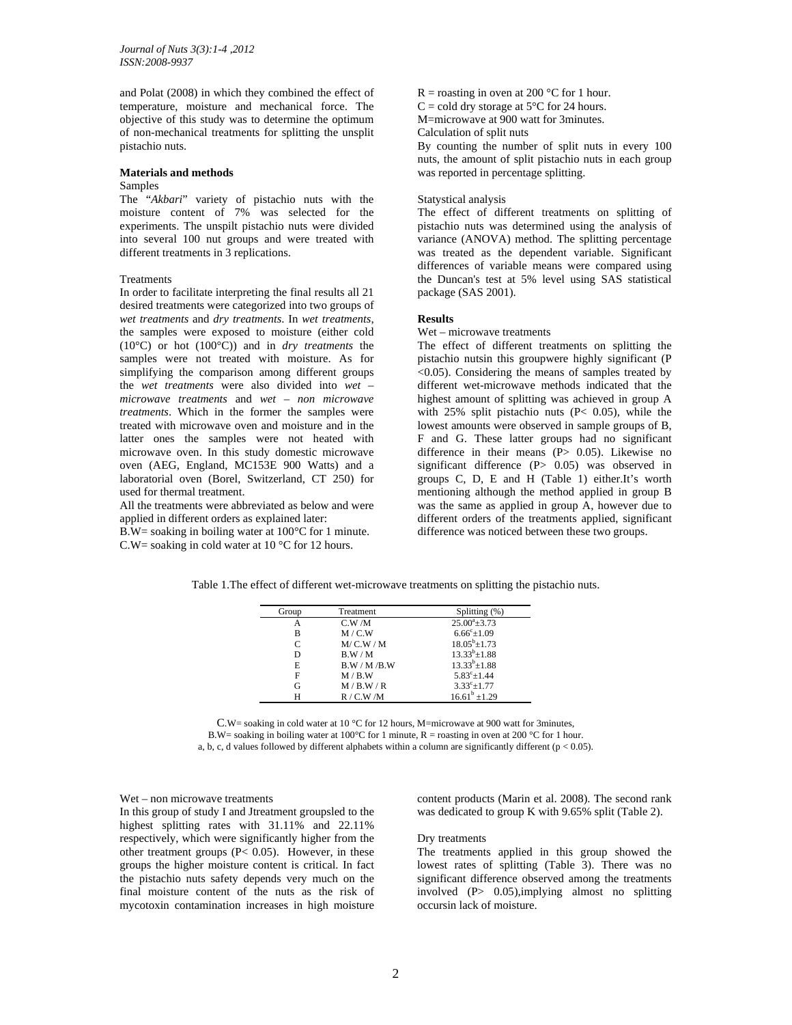and Polat (2008) in which they combined the effect of temperature, moisture and mechanical force. The objective of this study was to determine the optimum of non-mechanical treatments for splitting the unsplit pistachio nuts.

### **Materials and methods**

## Samples

The "*Akbari*" variety of pistachio nuts with the moisture content of 7% was selected for the experiments. The unspilt pistachio nuts were divided into several 100 nut groups and were treated with different treatments in 3 replications.

### Treatments

In order to facilitate interpreting the final results all 21 desired treatments were categorized into two groups of *wet treatments* and *dry treatments*. In *wet treatments*, the samples were exposed to moisture (either cold (10°C) or hot (100°C)) and in *dry treatments* the samples were not treated with moisture. As for simplifying the comparison among different groups the *wet treatments* were also divided into *wet – microwave treatments* and *wet – non microwave treatments*. Which in the former the samples were treated with microwave oven and moisture and in the latter ones the samples were not heated with microwave oven. In this study domestic microwave oven (AEG, England, MC153E 900 Watts) and a laboratorial oven (Borel, Switzerland, CT 250) for used for thermal treatment.

All the treatments were abbreviated as below and were applied in different orders as explained later:

B.W= soaking in boiling water at 100°C for 1 minute. C.W= soaking in cold water at 10 °C for 12 hours.

 $R =$  roasting in oven at 200 °C for 1 hour.  $C = \text{cold dry storage at } 5^{\circ}C \text{ for } 24 \text{ hours.}$ M=microwave at 900 watt for 3minutes. Calculation of split nuts By counting the number of split nuts in every 100 nuts, the amount of split pistachio nuts in each group

was reported in percentage splitting.

### Statystical analysis

The effect of different treatments on splitting of pistachio nuts was determined using the analysis of variance (ANOVA) method. The splitting percentage was treated as the dependent variable. Significant differences of variable means were compared using the Duncan's test at 5% level using SAS statistical package (SAS 2001).

## **Results**

Wet – microwave treatments

The effect of different treatments on splitting the pistachio nutsin this groupwere highly significant (P  $\leq$ 0.05). Considering the means of samples treated by different wet-microwave methods indicated that the highest amount of splitting was achieved in group A with 25% split pistachio nuts (P< 0.05), while the lowest amounts were observed in sample groups of B, F and G. These latter groups had no significant difference in their means (P> 0.05). Likewise no significant difference (P> 0.05) was observed in groups C, D, E and H (Table 1) either.It's worth mentioning although the method applied in group B was the same as applied in group A, however due to different orders of the treatments applied, significant difference was noticed between these two groups.

Table 1.The effect of different wet-microwave treatments on splitting the pistachio nuts.

| Group | Treatment | Splitting (%)              |
|-------|-----------|----------------------------|
| А     | C.W/M     | $25.00^{\circ}$ $\pm 3.73$ |
| B     | M/C.W     | $6.66^{\circ}$ ±1.09       |
| C     | M/C.W/M   | $18.05^b \pm 1.73$         |
| D     | B.W/M     | $13.33^{b} \pm 1.88$       |
| E     | B.W/M/B.W | $13.33^{b} \pm 1.88$       |
| F     | M / B.W   | $5.83^{\circ}$ ±1.44       |
| G     | M/B.W/R   | $3.33^{\circ}$ ±1.77       |
| H     | R / C.W/M | $16.61^b + 1.29$           |

C.W= soaking in cold water at 10 °C for 12 hours, M=microwave at 900 watt for 3minutes, B.W= soaking in boiling water at 100°C for 1 minute,  $R =$  roasting in oven at 200 °C for 1 hour.

a, b, c, d values followed by different alphabets within a column are significantly different ( $p < 0.05$ ).

### Wet – non microwave treatments

In this group of study I and Jtreatment groupsled to the highest splitting rates with 31.11% and 22.11% respectively, which were significantly higher from the other treatment groups (P< 0.05). However, in these groups the higher moisture content is critical. In fact the pistachio nuts safety depends very much on the final moisture content of the nuts as the risk of mycotoxin contamination increases in high moisture

content products (Marin et al. 2008). The second rank was dedicated to group K with 9.65% split (Table 2).

## Dry treatments

The treatments applied in this group showed the lowest rates of splitting (Table 3). There was no significant difference observed among the treatments involved (P> 0.05),implying almost no splitting occursin lack of moisture.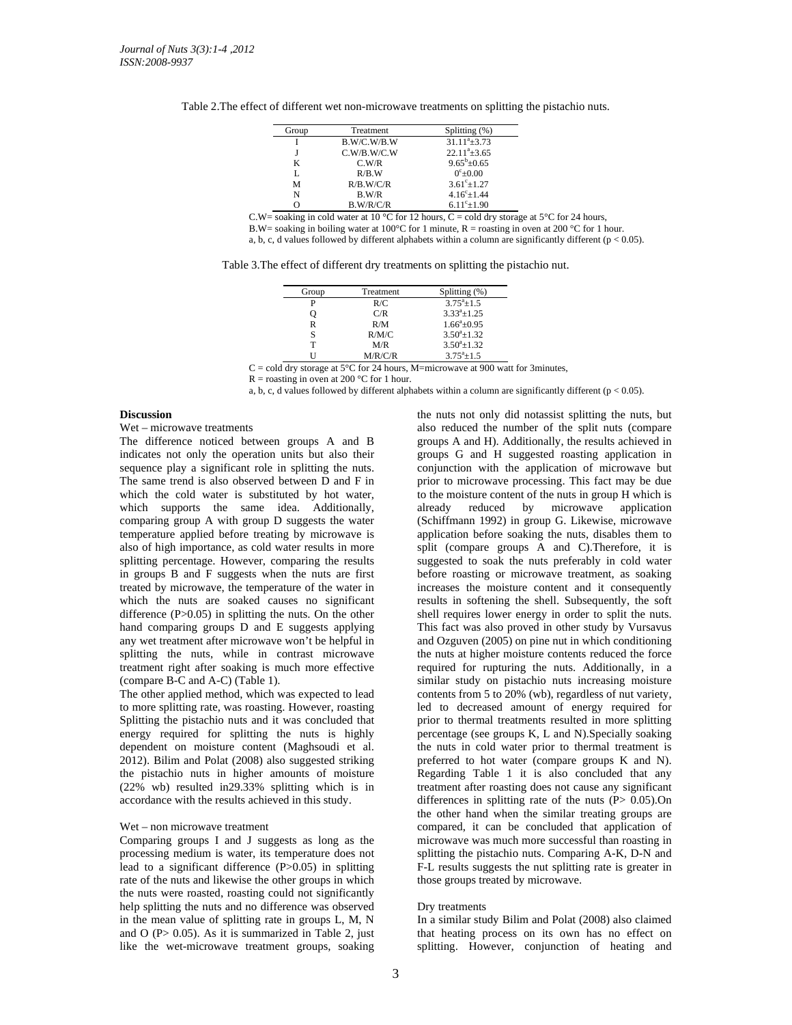| Table 2. The effect of different wet non-microwave treatments on splitting the pistachio nuts. |  |  |  |  |  |  |  |
|------------------------------------------------------------------------------------------------|--|--|--|--|--|--|--|
|------------------------------------------------------------------------------------------------|--|--|--|--|--|--|--|

| Group | Treatment   | Splitting (%)            |
|-------|-------------|--------------------------|
|       | B.W/C.W/B.W | $31.11^a \pm 3.73$       |
|       | C.W/B.W/C.W | $22.11^{\degree}\pm3.65$ |
| K     | C.W/R       | $9.65^b \pm 0.65$        |
| L     | R/B.W       | $0^{\circ}$ ± 0.00       |
| M     | R/B.W/C/R   | $3.61^{\circ} \pm 1.27$  |
| N     | B.W/R       | $4.16^{\circ} \pm 1.44$  |
|       | B.W/R/C/R   | $6.11^{\circ}$ ± 1.90    |

C.W= soaking in cold water at 10 °C for 12 hours, C = cold dry storage at 5°C for 24 hours,

B.W= soaking in boiling water at 100°C for 1 minute,  $R =$  roasting in oven at 200 °C for 1 hour.

a, b, c, d values followed by different alphabets within a column are significantly different ( $p < 0.05$ ).

| Group | Treatment | Splitting (%)       |
|-------|-----------|---------------------|
| P     | R/C       | $3.75^{\circ}+1.5$  |
|       | C/R       | $3.33^{a}+1.25$     |
| R     | R/M       | $1.66^a \pm 0.95$   |
| S     | R/M/C     | $3.50^{a}+1.32$     |
| т     | M/R       | $3.50^{\circ}+1.32$ |
|       | M/R/C/R   | $3.75^a \pm 1.5$    |

 $C = \text{cold dry storage at } 5^{\circ}\text{C}$  for 24 hours, M=microwave at 900 watt for 3minutes,

 $R =$  roasting in oven at 200 °C for 1 hour.

a, b, c, d values followed by different alphabets within a column are significantly different ( $p < 0.05$ ).

## **Discussion**

Wet – microwave treatments

The difference noticed between groups A and B indicates not only the operation units but also their sequence play a significant role in splitting the nuts. The same trend is also observed between D and F in which the cold water is substituted by hot water, which supports the same idea. Additionally, comparing group A with group D suggests the water temperature applied before treating by microwave is also of high importance, as cold water results in more splitting percentage. However, comparing the results in groups B and F suggests when the nuts are first treated by microwave, the temperature of the water in which the nuts are soaked causes no significant difference (P>0.05) in splitting the nuts. On the other hand comparing groups D and E suggests applying any wet treatment after microwave won't be helpful in splitting the nuts, while in contrast microwave treatment right after soaking is much more effective (compare B-C and A-C) (Table 1).

The other applied method, which was expected to lead to more splitting rate, was roasting. However, roasting Splitting the pistachio nuts and it was concluded that energy required for splitting the nuts is highly dependent on moisture content (Maghsoudi et al. 2012). Bilim and Polat (2008) also suggested striking the pistachio nuts in higher amounts of moisture (22% wb) resulted in29.33% splitting which is in accordance with the results achieved in this study.

### Wet – non microwave treatment

Comparing groups I and J suggests as long as the processing medium is water, its temperature does not lead to a significant difference (P>0.05) in splitting rate of the nuts and likewise the other groups in which the nuts were roasted, roasting could not significantly help splitting the nuts and no difference was observed in the mean value of splitting rate in groups L, M, N and  $O$  (P $> 0.05$ ). As it is summarized in Table 2, just like the wet-microwave treatment groups, soaking

the nuts not only did notassist splitting the nuts, but also reduced the number of the split nuts (compare groups A and H). Additionally, the results achieved in groups G and H suggested roasting application in conjunction with the application of microwave but prior to microwave processing. This fact may be due to the moisture content of the nuts in group H which is already reduced by microwave application (Schiffmann 1992) in group G. Likewise, microwave application before soaking the nuts, disables them to split (compare groups A and C).Therefore, it is suggested to soak the nuts preferably in cold water before roasting or microwave treatment, as soaking increases the moisture content and it consequently results in softening the shell. Subsequently, the soft shell requires lower energy in order to split the nuts. This fact was also proved in other study by Vursavus and Ozguven (2005) on pine nut in which conditioning the nuts at higher moisture contents reduced the force required for rupturing the nuts. Additionally, in a similar study on pistachio nuts increasing moisture contents from 5 to 20% (wb), regardless of nut variety, led to decreased amount of energy required for prior to thermal treatments resulted in more splitting percentage (see groups K, L and N).Specially soaking the nuts in cold water prior to thermal treatment is preferred to hot water (compare groups K and N). Regarding Table 1 it is also concluded that any treatment after roasting does not cause any significant differences in splitting rate of the nuts  $(P> 0.05)$ . On the other hand when the similar treating groups are compared, it can be concluded that application of microwave was much more successful than roasting in splitting the pistachio nuts. Comparing A-K, D-N and F-L results suggests the nut splitting rate is greater in those groups treated by microwave.

### Dry treatments

In a similar study Bilim and Polat (2008) also claimed that heating process on its own has no effect on splitting. However, conjunction of heating and